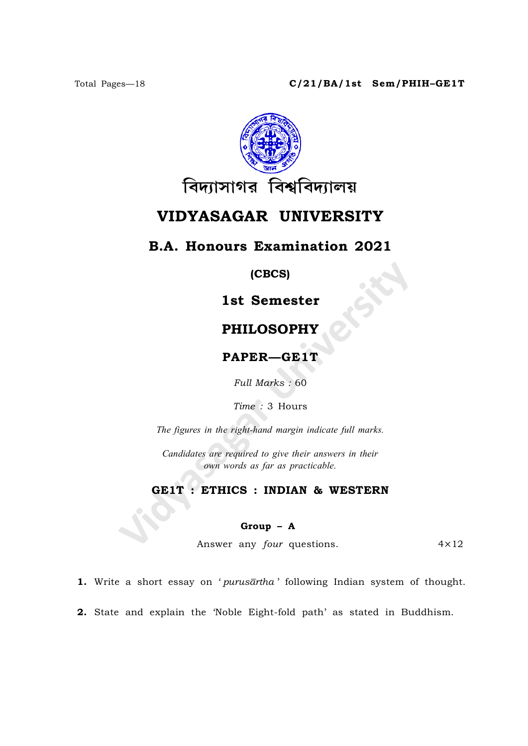

# VIDYASAGAR UNIVERSITY

## B.A. Honours Examination 2021

(CBCS)

# 1st Semester

## PHILOSOPHY

PAPER—GE1T

Full Marks : 60

Time : 3 Hours

The figures in the right-hand margin indicate full marks.

Candidates are required to give their answers in their own words as far as practicable.

### GE1T : ETHICS : INDIAN & WESTERN

#### Group – A

Answer any *four* questions. 4×12

1. Write a short essay on 'purusartha' following Indian system of thought.

2. State and explain the 'Noble Eight-fold path' as stated in Buddhism.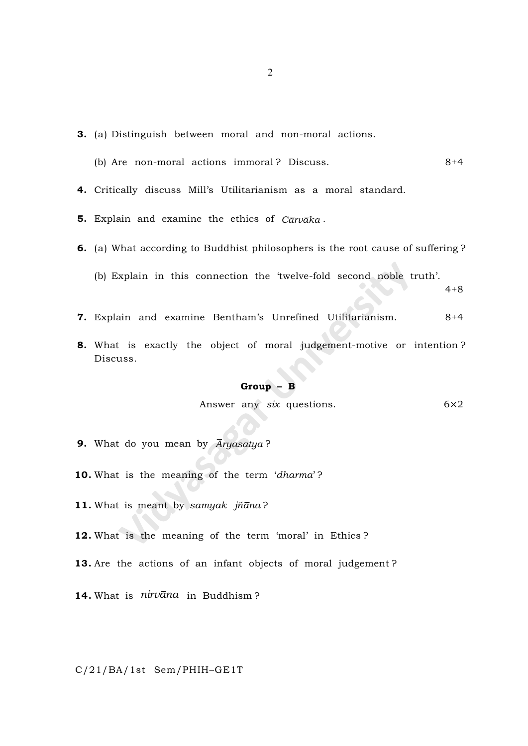- 3. (a) Distinguish between moral and non-moral actions.
	- (b) Are non-moral actions immoral ? Discuss. 8+4

4. Critically discuss Mill's Utilitarianism as a moral standard.

- 5. Explain and examine the ethics of  $C\bar{a}rv\bar{a}ka$ .
- 6. (a) What according to Buddhist philosophers is the root cause of suffering ? (b) Explain in this connection the 'twelve-fold second noble truth'.
- 7. Explain and examine Bentham's Unrefined Utilitarianism. 8+4
- 8. What is exactly the object of moral judgement-motive or intention ? Discuss.

#### Group – B

Answer any six questions.  $6\times 2$ 

 $4+8$ 

- **9.** What do you mean by  $\overline{A}ryasatya$ ?
- 10. What is the meaning of the term 'dharma'?
- 11. What is meant by samyak jñana?
- 12. What is the meaning of the term 'moral' in Ethics ?
- 13. Are the actions of an infant objects of moral judgement?

14. What is  $nirv\bar{a}na$  in Buddhism?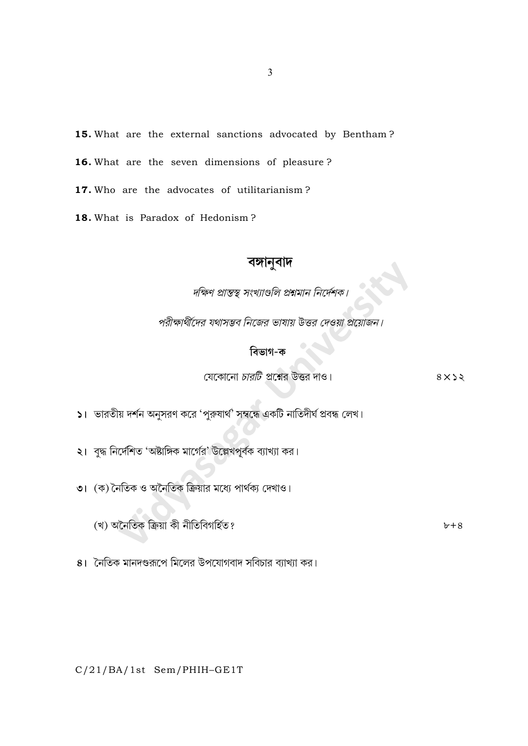15. What are the external sanctions advocated by Bentham?

16. What are the seven dimensions of pleasure?

17. Who are the advocates of utilitarianism?

18. What is Paradox of Hedonism?

# বঙ্গানুবাদ

-<br>দক্ষিণ প্রান্তস্থ্ সংখ্যাণ্ডলি প্রশ্নমান নির্দেশক।

পরীক্ষার্থীদের যথাসম্ভব নিজের ভাষায় উত্তর দেওয়া প্রয়োজন।

# বিভাগ-ক

যেকোনো *চারটি* প্রশ্নের উত্তর দাও।

 $8 \times 22$ 

 $\mathsf{S}$ । ভারতীয় দর্শন অনুসরণ করে 'পুরুষার্থ' সম্বন্ধে একটি নাতিদীর্ঘ প্রবন্ধ লেখ।

২। বুদ্ধ নির্দেশিত 'অষ্টাঙ্গিক মার্গের' উল্লেখপূর্বক ব্যাখ্যা কর।

৩। (ক) নৈতিক ও অনৈতিক ক্রিয়ার মধ্যে পার্থক্য দেখাও।

(খ) অনৈতিক ক্ৰিয়া কী নীতিবিগৰ্হিত?

 $b+8$ 

8। নৈতিক মানদণ্ডরূপে মিলের উপযোগবাদ সবিচার ব্যাখ্যা কর।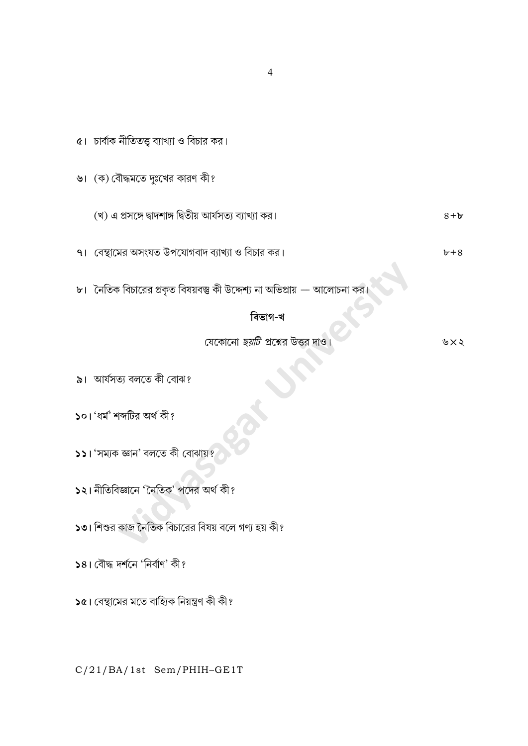$\alpha$ । চার্বাক নীতিতত্ত্ব ব্যাখ্যা ও বিচার কর। ৬। (ক) বৌদ্ধমতে দুঃখের কারণ কী? (খ) এ প্রসঙ্গে দ্বাদশাঙ্গ দ্বিতীয় আর্যসত্য ব্যাখ্যা কর।  $8 + b$ ৭। বেস্থামের অসংযত উপযোগবাদ ব্যাখ্যা ও বিচার কর।  $b+8$ ৮। নৈতিক বিচারের প্রকৃত বিষয়বস্তু কী উদ্দেশ্য না অভিপ্রায় — আলোচনা বিভাগ-খ যেকোনো *ছয়টি* প্রশ্নের উত্তর দাও। ৬ $\times$ ২ ৯। আৰ্যসত্য বলতে কী বোঝ? ১০। 'ধৰ্ম' শব্দটির অৰ্থ কী?  $\overline{\phantom{a}}$ ১১। 'সম্যক জ্ঞান' বলতে কী বোঝায়? ১২। নীতিবিজ্ঞানে 'নৈতিক' পদের অর্থ কী? ১৩। শিশুর কাজ নৈতিক বিচারের বিষয় বলে গণ্য হয় কী? ১৪। বৌদ্ধ দর্শনে 'নির্বাণ' কী? ১৫। বেস্থামের মতে বাহ্যিক নিয়ন্ত্রণ কী কী?

C/21/BA/1st Sem/PHIH-GE1T

 $\overline{4}$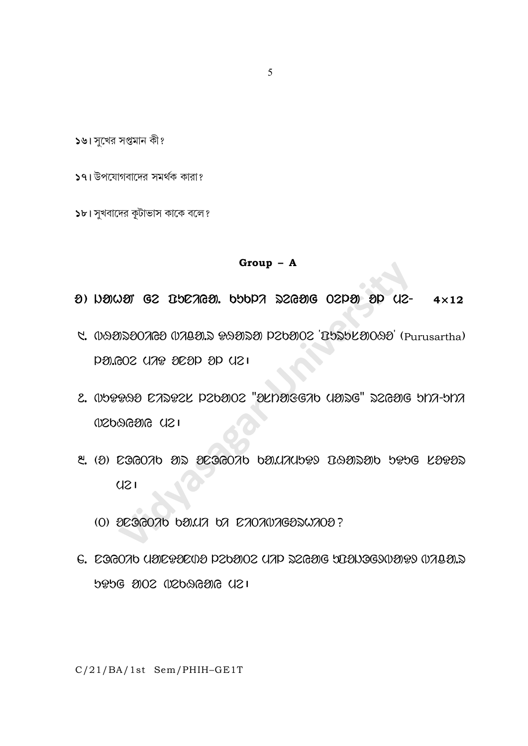১৬। সুখের সপ্তমান কী?

১৭। উপযোগবাদের সমর্থক কারা?

১৮। সুখবাদের কূটাভাস কাকে বলে?

5

 $Group - A$ 

- $\theta$ ) Neiner G2 The TGS. Opper Szgerg O2PO op U2- $4\times12$
- C. 099200769 07492 89929 PZb902 TS25L9099 (Purusartha) 121) QG QGSG 9KV SO5.06Q
- C. Oboose CADOCK P2baO2 "akharegab yang" D2GaG bha-bha  $1$  SD  $90$   $69$   $121$
- 2. (2)  $C$ GGOAD ON OCGGOAD DOLIALDPY DAONOU DPDG KOPON  $U21$ 
	- (0) OCOGOO bOLLA bA CAOANAGOSWAOO?
- G. EGGOAD UDEPDEOD PZDDOZ UAP ZZGDE DIDNOGOODP OABD.Z 121) 50856020 2008 5090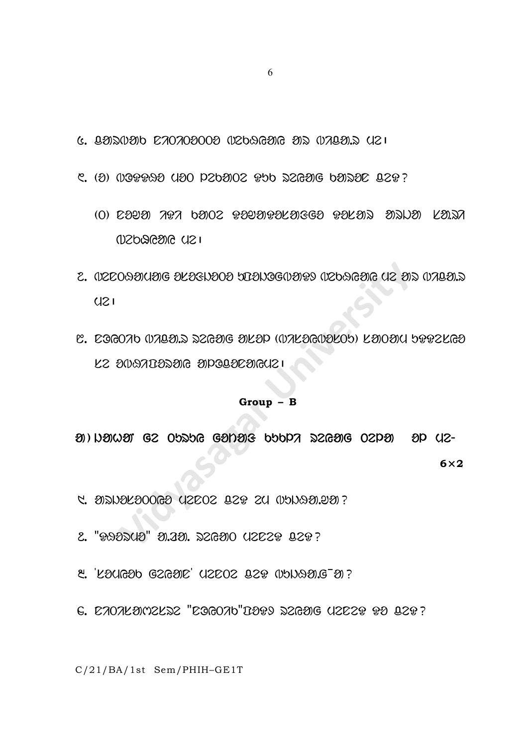$6.$  8212020 622020002 02626216 212 028222 6

 $\mathcal{L}$ . (0) (1009990 (100 P260102 P56 S2GO1G 601SOC Q29?

- (O) COYO 707 6002 909OPOLOGO 90LON ONDO LONA  $15D$
- C. (IZEOQENCE ELEGISCO DEBIOG(IED PROGAES CO EN BADECOSSI)  $U21$
- C. EGGOAD (VABEL) DZGEJG EJLEP ((VALEGYELOS) LEJOEN SPPZLGE LZ 200702020 apologocoucl

#### $Group - B$

MINER CONDUS GE OURDE CONTER PAPER DESCRIPTION OF CID-

 $6\times2$ 

- **4. SUPRESOOGS (12002 029 20 COOSTRAGE)**
- 2. "RADDUD" D. 20. DZGOO UZCZP QZP?
- $\mathcal{E}$  'Lougdo G2GOE' U2E02 22P (UDNAD.G-D)?
- 6. CAOALOMZLEZ "COGOAO"DOP9 EZGOJG UZCZP PO QZP?

C/21/BA/1st Sem/PHIH-GE1T

6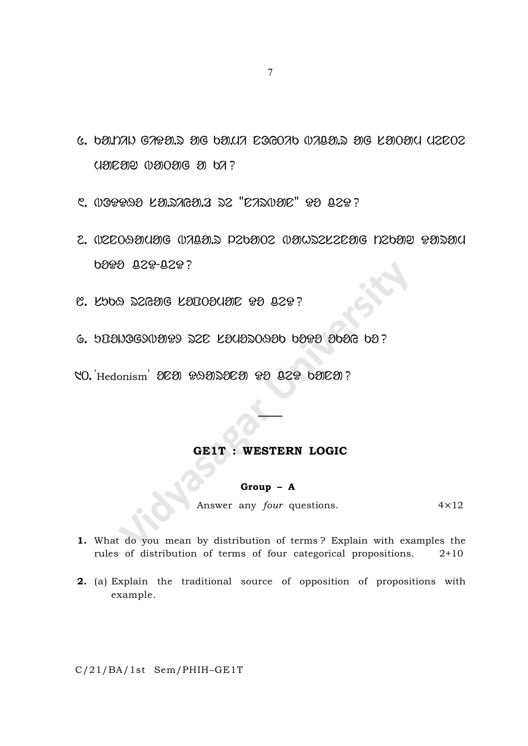$6.$  balnan Gatal.s and balda Eggoab walla.s and landard deposit  $U$ <br>and  $U$   $\infty$   $\infty$   $\infty$   $\infty$   $\infty$   $\infty$   $\infty$   $\infty$   $\infty$   $\infty$   $\infty$   $\infty$   $\infty$   $\infty$   $\infty$   $\infty$   $\infty$   $\infty$   $\infty$   $\infty$   $\infty$   $\infty$   $\infty$   $\infty$   $\infty$   $\infty$   $\infty$   $\infty$   $\infty$   $\infty$   $\infty$   $\infty$   $\infty$   $\infty$   $\infty$ 

 $C.$   $0.099990$   $C.009990$   $C.009990$ 

- 2. OZZOQUOJE OJALU. PZOUOZ OUWOZZZZU POZOU PUDU **boto 020-020?**
- **C. KOO DEGEDE KODOOCLED DE DEP?**
- 6. UPONOGYNORY SZE KOUOSOGOO OORO OOO OO?
- NO. Hedonism 2020 PA DE20 PO CEP b2007?

### GE1T : WESTERN LOGIC

### Group – A

Answer any  $four$  questions.  $4 \times 12$ 

- 1. What do you mean by distribution of terms ? Explain with examples the rules of distribution of terms of four categorical propositions. 2+10
- 2. (a) Explain the traditional source of opposition of propositions with example.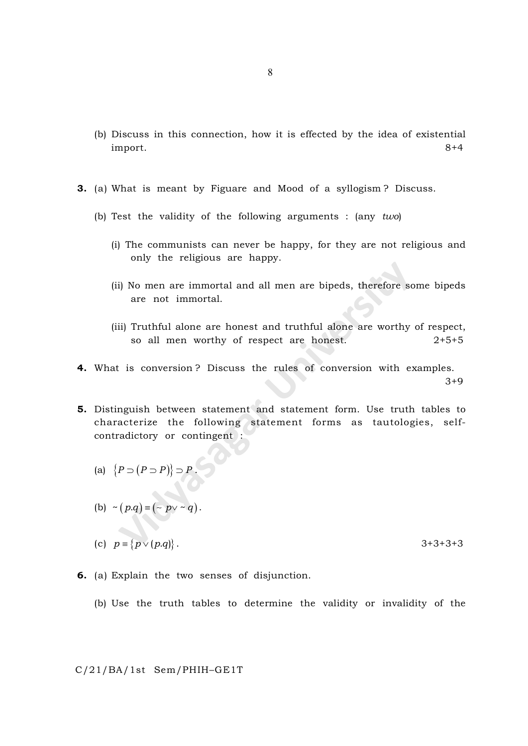- (b) Discuss in this connection, how it is effected by the idea of existential import. 8+4
- 3. (a) What is meant by Figuare and Mood of a syllogism ? Discuss.
	- (b) Test the validity of the following arguments : (any  $two$ )
		- (i) The communists can never be happy, for they are not religious and only the religious are happy.
		- (ii) No men are immortal and all men are bipeds, therefore some bipeds are not immortal.
		- (iii) Truthful alone are honest and truthful alone are worthy of respect, so all men worthy of respect are honest.  $2+5+5$

3+9

- 4. What is conversion ? Discuss the rules of conversion with examples.
- 5. Distinguish between statement and statement form. Use truth tables to characterize the following statement forms as tautologies, selfcontradictory or contingent :

(a) 
$$
\{P \supset (P \supset P)\} \supset P
$$
.

(b) 
$$
\sim (p.q) \equiv (\sim p \lor \sim q).
$$

- (c)  $p = \{p \lor (p,q)\}.$  3+3+3+3
- 6. (a) Explain the two senses of disjunction.
	- (b) Use the truth tables to determine the validity or invalidity of the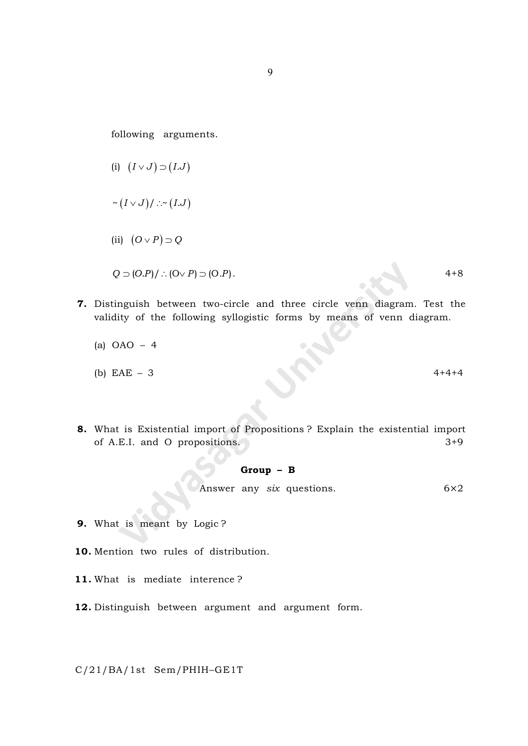following arguments.

- (i)  $(I \vee J) \supset (I.J)$  $\sim (I \vee J)/\sim (I.J)$ (ii)  $(O \vee P) \supset Q$  $Q \supset (O.P) /$  :  $(O \vee P) \supset (O.P)$ . 4+8
- 7. Distinguish between two-circle and three circle venn diagram. Test the validity of the following syllogistic forms by means of venn diagram.
	- (a) OAO 4
	- (b)  $EAE 3$  4+4+4
- 8. What is Existential import of Propositions ? Explain the existential import of A.E.I. and O propositions. 3+9

### Group – B

Answer any six questions.  $6 \times 2$ 

- 9. What is meant by Logic ?
- 10. Mention two rules of distribution.
- 11. What is mediate interence ?
- 12. Distinguish between argument and argument form.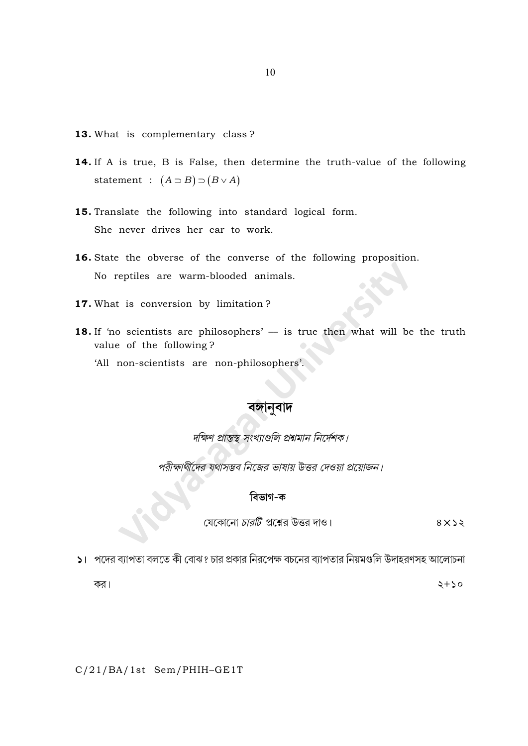- 13. What is complementary class?
- 14. If A is true, B is False, then determine the truth-value of the following statement :  $(A \supset B) \supset (B \vee A)$
- 15. Translate the following into standard logical form. She never drives her car to work.
- 16. State the obverse of the converse of the following proposition. No reptiles are warm-blooded animals.
- 17. What is conversion by limitation?
- 18. If 'no scientists are philosophers' is true then what will be the truth value of the following?

'All non-scientists are non-philosophers'.

## বঙ্গানুবাদ

দক্ষিণ প্রান্তস্থ সংখ্যাগুলি প্রশ্নমান নির্দেশক।

পরীক্ষার্থীদের যথাসম্ভব নিজের ভাষায় উত্তর দেওয়া প্রয়োজন।

# বিভাগ-ক

যেকোনো *চারটি* প্রশ্নের উত্তর দাও।

 $8 \times 22$ 

১। পদের ব্যাপতা বলতে কী বোঝ? চার প্রকার নিরপেক্ষ বচনের ব্যাপতার নিয়মগুলি উদাহরণসহ আলোচনা

কর।

 $2+50$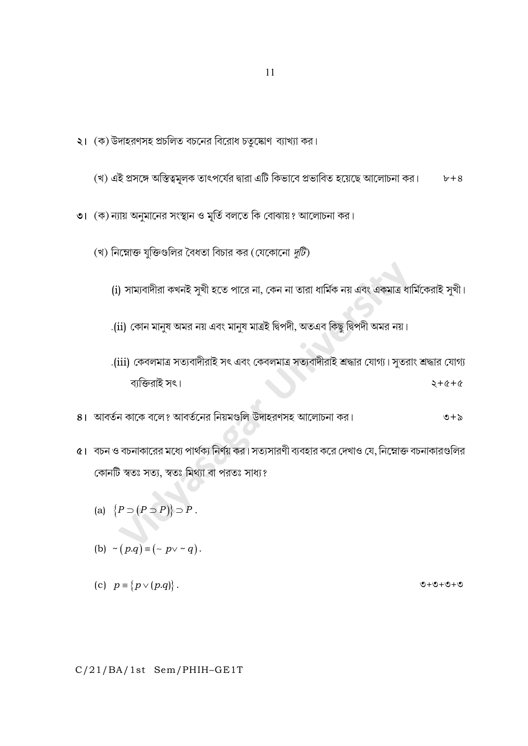C/21/BA/1st Sem/PHIH-GE1T

- (b)  $\sim (p.q) \equiv (\sim p \vee \sim q).$
- 

(c)  $p \equiv \{p \lor (p.q)\}.$ 

- 
- (a)  $\{P \supset (P \supset P)\} \supset P$ .
- ৫। বচন ও বচনাকারের মধ্যে পার্থক্য নির্ণয় কর। সত্যসারণী ব্যবহার করে দেখাও যে, নিম্নোক্ত বচনাকারগুলির কোনটি স্বতঃ সত্য, স্বতঃ মিথ্যা বা পরতঃ সাধ্য?
- .(iii) কেবলমাত্র সত্যবাদীরাই সৎ এবং কেবলমাত্র সত্যবাদীরাই শ্রদ্ধার যোগ্য। সুতরাং শ্রদ্ধার যোগ্য ব্যক্তিরাই সৎ।  $2 + 6 + 6$
- (i) সাম্যবাদীরা কখনই সুখী হতে পারে না, কেন না তারা ধার্মিক নয় এবং একমাত্র ধার্মিকেরাই সুখী।

.(ii) কোন মানুষ অমর নয় এবং মানুষ মাত্রই দ্বিপদী, অতএব কিছু দ্বিপদী অমর নয়।

(খ) নিম্নোক্ত যুক্তিগুলির বৈধতা বিচার কর (যেকোনো  $\bar{q}$ টি)

8। আবর্তন কাকে বলে? আবর্তনের নিয়মগুলি উদাহরণসহ আলোচনা কর।

- **৩।**  $(\overline{\sigma})$ **ন্যায় অনুমানের সংস্থান ও মূর্তি বলতে কি বোঝায়? আলোচনা কর।**
- (খ) এই প্রসঙ্গে অস্তিত্বমূলক তাৎপর্যের দ্বারা এটি কিভাবে প্রভাবিত হয়েছে আলোচনা কর।  $b+8$
- ২। (ক) উদাহরণসহ প্রচলিত বচনের বিরোধ চতুষ্কোণ ব্যাখ্যা কর।

 $\mathcal{O} + \mathcal{O} + \mathcal{O} + \mathcal{O}$ 

 $\mathcal{O} + \mathcal{O}$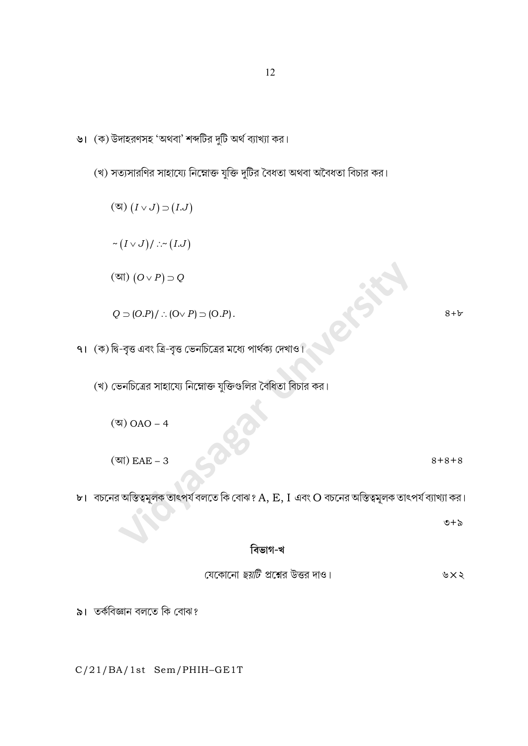(আ)  $(O \vee P) \supset Q$ efsi  $Q \supset (O.P)/$  :  $(O \vee P) \supset (O.P)$ .  $8 + b$ ৭।  $($ ক) দ্বি-বৃত্ত এবং ত্রি-বৃত্ত ভেনচিত্রের মধ্যে পার্থক্য দেখাও। (খ) ভেনচিত্রের সাহায্যে নিম্নোক্ত যুক্তিগুলির বৈধিতা বিচার কর। (অ)  $OAO - 4$ (আ)  $EAE - 3$  $8 + 8 + 8$  $b$ । বচনের অস্তিত্বমূলক তাৎপর্য বলতে কি বোঝ?  $A, E, I$  এবং  $O$  বচনের অস্তিত্বমূলক তাৎপর্য ব্যাখ্যা কর।  $\circ + \circ$ বিভাগ-খ যেকোনো *ছয়টি প্র*শ্নের উত্তর দাও। ৬ $\times$ ২ ৯। তর্কবিজ্ঞান বলতে কি বোঝ?

- (খ) সত্যসারণির সাহায্যে নিম্নোক্ত যুক্তি দুটির বৈধতা অথবা অবৈধতা বিচার কর।
- ৬। (ক) উদাহরণসহ 'অথবা' শব্দটির দুটি অর্থ ব্যাখ্যা কর।

 $(\mathfrak{A}) (I \vee J) \supset (I.J)$ 

 $\sim \big(I \vee J\big)/\ldots\sim \big(I.J\big)$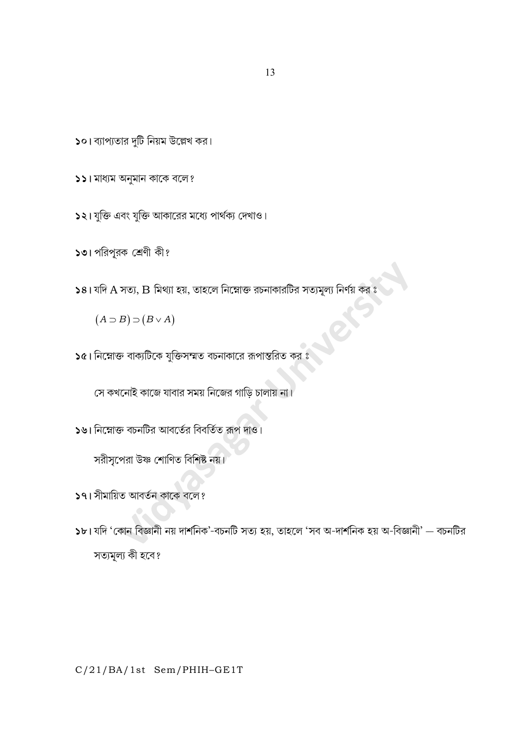13

 $\overline{\phantom{a}}$ ১০। ব্যাপ্যতার দুটি নিয়ম উল্লেখ কর।

১২। যুক্তি এবং যুক্তি আকারের মধ্যে পার্থক্য দেখাও।

১১। মাধ্যম অনুমান কাকে বলে?

 $(A \supset B) \supset (B \vee A)$ 

১৩। পরিপূরক শ্রেণী কী?

 $\overline{\mathsf{b}}$ ৫। নিম্নোক্ত বাক্যটিকে যুক্তিসম্মত বচনাকারে রূপান্তরিত কর ঃ

 $\boldsymbol{\mathsf{58}}$ । যদি  $\boldsymbol{\mathrm{A}}$  সত্য,  $\boldsymbol{\mathrm{B}}$  মিথ্যা হয়, তাহলে নিম্নোক্ত রচনাকারটির সত্যমূল্য নির্ণয় কর ঃ

সে কখনোই কাজে যাবার সময় নিজের গাড়ি চালায় না।

 $\overline{\mathsf{S}}$ ৬। নিম্নোক্ত বচনটির আবর্তের বিবর্তিত রূপ দাও।

সরীসৃপেরা উষ্ণ শোণিত বিশিষ্ট নয়।

১৭। সীমায়িত আবর্তন কাকে বলে?

১৮। যদি 'কোন বিজ্ঞানী নয় দার্শনিক'-বচনটি সত্য হয়, তাহলে 'সব অ-দার্শনিক হয় অ-বিজ্ঞানী' — বচনটির সত্যমূল্য কী হবে?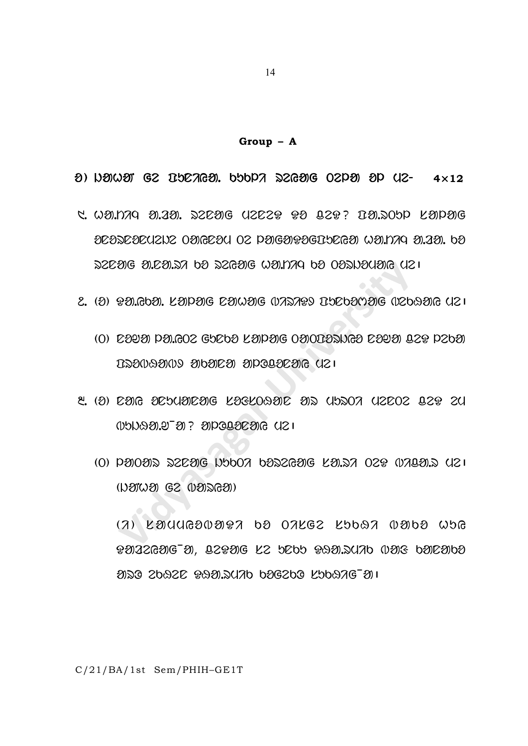$Group - A$ 

 $\theta$ ) Newer G2 BSCAGE, 555PA S2GE 02PE EP U2-  $4\times12$ 

- C. WOLDAQ OLAOL DZEOG UZEZP PO QZP? DOLDOD KOPOG DEDDEDEUZIX ODIGEDU OZ POJGOJPOGIJEGO WOLDA OLIDI. 60 22291G 31.291.27 b9 22G91G W91.1779 b9 092W9U91G U21
- ೭. (O) POIGOOI. KOPOG COWOG (VADAPS IYODOMOG (VZDAOG UZ 1
	- (O) COUN POLOOC GUCOO KOPOOG OOODDANGO COUN QCP PCOO LOSUGSUO SUPSES SUSSESSES (121
- <u>୯. (୬) ପଥାତ ଥପିଠାରାସଥିବେ ଅଞ୍ଚମଠାରୁ ଶିଚ୍ଚ ପାଏଥିଠା ପଥିବେ ଅଧି ସମ</u>
	- $(0)$  panoas szcare upboa baszeare kalsa ozo warals (12)  $(1)20(1)20(2)$  ( $(1)20(2)30(2)1$ )

 $(7)$  LYUUGIVYIY 69 OALGE L56QA VY69 W5G PNAZGNG M. IZPNG KZ DEDD PAN. SUAD (VNG DNENDO aso spase sagranap pagspo kppang-an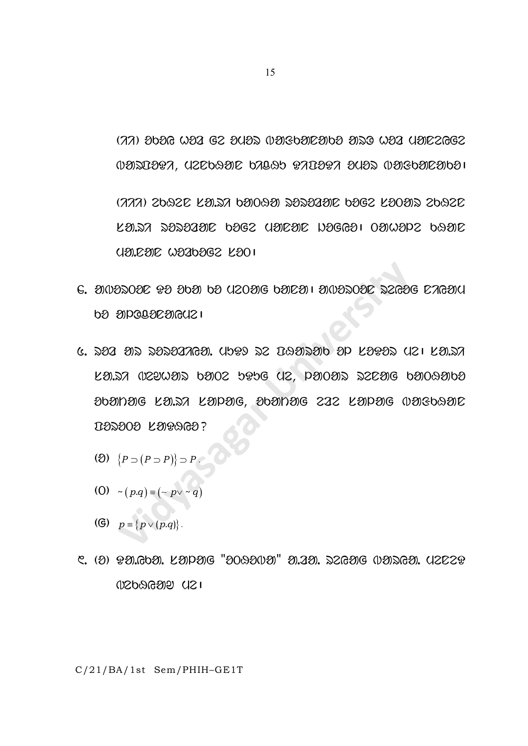$(77)$  වර්වල  $W23$  G2 වි $W3$   $W3$ පිර්වාටවාර්ව වාඩිල  $W32$   $W32$   $GGG2$ UONICORA, UZCONO COAONO RACORA OUON UOROOCOOO

(777) 2692C LO.SA 60090 SOSOOO 60G2 LOOOS 2692C LO.SA SOSOGOE 6OGZ UOEOE NOGGOI 0OWOPZ 69OE UE 2012 WARDER KOO I

- $G.$  20022020  $92$  2020 02 02020 02022 1 20022020 22626 026200 **PS SIDGAGESIGGS 1**
- G. 222 212 2222222621. UDPI 22 DAE12210 2P LEPEZ UZI LELZ KANY USAMAY PAOS PIPE (1S, bAOAY 256AE PAOPAPP 2021020G KA.SA KAPAG, 2021020G 222 KAPAG (12060920 **IB2000 LOGOGO?** 
	- (2)  $\{P \supset (P \supset P)\} \supset P$ .
	- (0)  $\neg (p.q) \equiv (\neg p \lor \neg q)$
	- (G)  $p \equiv \{p \lor (p.q)\}.$
- **USPGGSUS (IS1**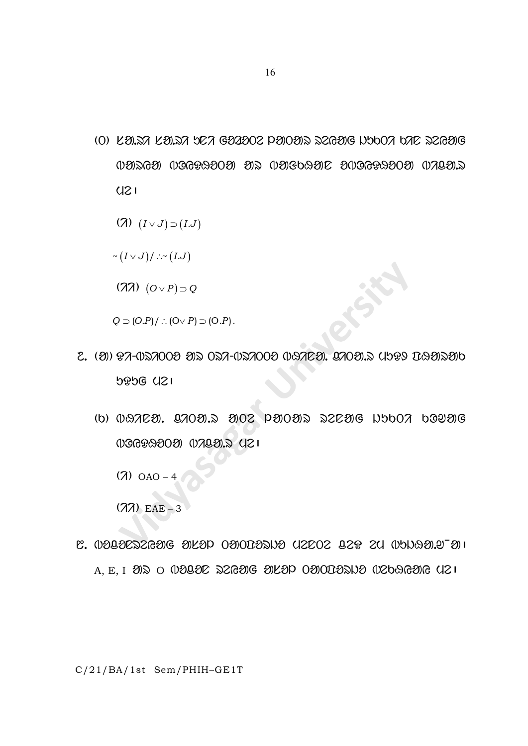(O) KEUN KEUN DEN GEREOR PENOEN SZGEE NOON DAE SZGEE WARGA WOGPAOOA AR WAGOAAE DWOGPAOOA WALA.R  $U21$ 

$$
(7) (I \vee J) \supset (I.J)
$$

$$
\mathtt{\sim}\big(I\mathtt{\sim} J\big)/\mathtt{\sim}\mathtt{\sim}\big(I.J\big)
$$

 $(\lambda \lambda)$   $(O \vee P) \supset Q$ 

 $Q \supset (O.P)/$  :  $(O \vee P) \supset (O.P)$ .

- 2. (O) PA-057000 OS OSA-057000 OGTEO. 970OS IOP9 DQOSO **5956 421** 
	- $(b)$   $0.87C2$ .  $0.702C2$   $0.82C22$   $0.82C22$   $0.9002C22$   $0.902C22$ 006992020 07020.5 (21

 $(7)$  OAO - 4

 $(77)$  EAE - 3

L. UDBOEZERGE SIKOP OSIODOZINO UZEOZ BZP ZU UNNASILU  $A, E, I$   $\partial\mathbb{D}$  o  $\partial\mathbb{D}$ a $\partial\mathbb{C}$  szrag  $\partial\mathbb{C}$  alap o $\partial\mathbb{D}$ o $\partial\mathbb{D}$ azbar $\partial\mathbb{C}$ uzbar $\partial$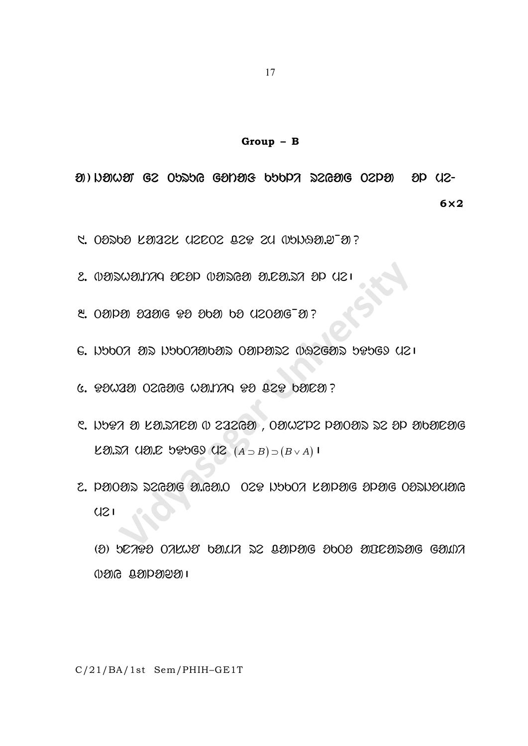### $Group - B$

 $\mathcal{D}$ ) N $\mathcal{D}$ W $\mathcal{D}$  G2 Obabe G $\mathcal{D}$ D $\mathcal{D}$ Ge bbbp $\mathcal{D}$  aze $\mathcal{D}$ Ge Ozp $\mathcal{D}$  ap Uz- $6\times2$ 

- C. 02262 K2122K U2E02 829 2U (151821.973)?
- 2. 0002000.020 020 0020 0020 0020.27 00
- <u>୧. ୦ଥାପଥ ଥିଥାଓ ହଥ ଥିବା ୦ଥି ଏ2୦ଥିଓ ଥି ?</u>
- G. NOOO ON NOOOOOON OOPONS WAZGON OPOGO UZI
- $C. 930230 026306 0311779 93 029 03023?$
- C. NOTA O LO. MEN O 222GO, OONZPZ POOOR 22 OP OOOEOG  $L3.57$  USIC 58569 UZ  $(A \supset B) \supset (B \vee A)$
- 2. PHOAS SZGHE A.GH.O OZP NYOO KAPHE APHE OASNACHE  $U21$

 $(3)$  52793 07KW3 69KH 22 891P31G 3603 313292391G G3107  $0.809$   $0.800$   $0.800$